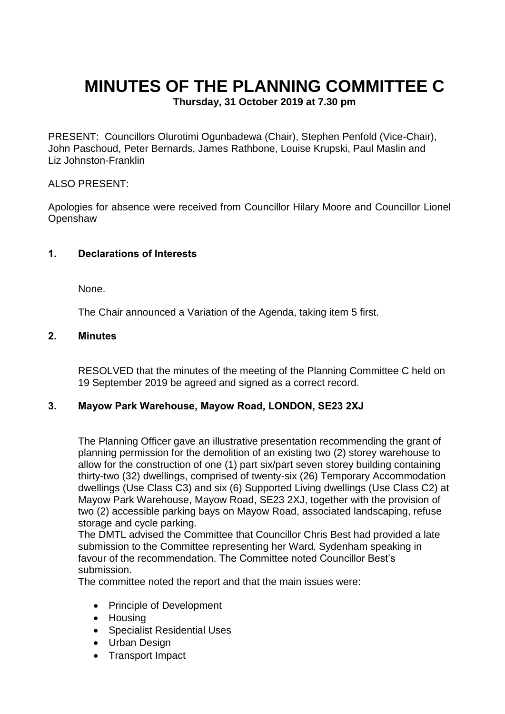# **MINUTES OF THE PLANNING COMMITTEE C**

**Thursday, 31 October 2019 at 7.30 pm**

PRESENT: Councillors Olurotimi Ogunbadewa (Chair), Stephen Penfold (Vice-Chair), John Paschoud, Peter Bernards, James Rathbone, Louise Krupski, Paul Maslin and Liz Johnston-Franklin

#### ALSO PRESENT:

Apologies for absence were received from Councillor Hilary Moore and Councillor Lionel **Openshaw** 

## **1. Declarations of Interests**

None.

The Chair announced a Variation of the Agenda, taking item 5 first.

#### **2. Minutes**

RESOLVED that the minutes of the meeting of the Planning Committee C held on 19 September 2019 be agreed and signed as a correct record.

#### **3. Mayow Park Warehouse, Mayow Road, LONDON, SE23 2XJ**

The Planning Officer gave an illustrative presentation recommending the grant of planning permission for the demolition of an existing two (2) storey warehouse to allow for the construction of one (1) part six/part seven storey building containing thirty-two (32) dwellings, comprised of twenty-six (26) Temporary Accommodation dwellings (Use Class C3) and six (6) Supported Living dwellings (Use Class C2) at Mayow Park Warehouse, Mayow Road, SE23 2XJ, together with the provision of two (2) accessible parking bays on Mayow Road, associated landscaping, refuse storage and cycle parking.

The DMTL advised the Committee that Councillor Chris Best had provided a late submission to the Committee representing her Ward, Sydenham speaking in favour of the recommendation. The Committee noted Councillor Best's submission.

The committee noted the report and that the main issues were:

- Principle of Development
- Housing
- Specialist Residential Uses
- Urban Design
- Transport Impact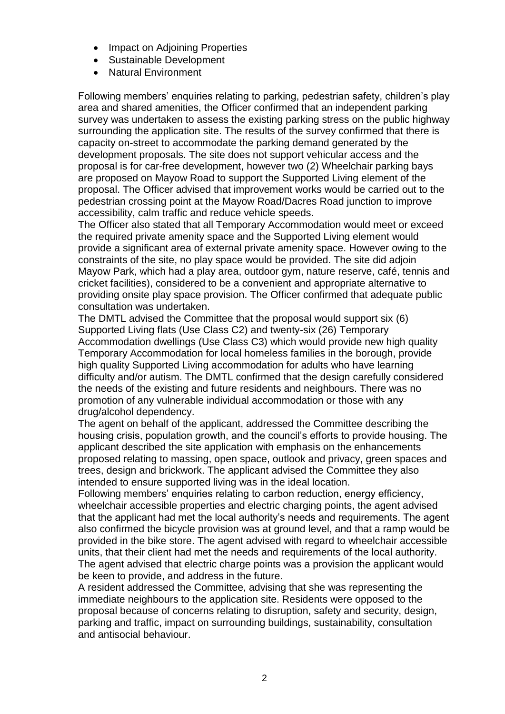- Impact on Adjoining Properties
- Sustainable Development
- Natural Environment

Following members' enquiries relating to parking, pedestrian safety, children's play area and shared amenities, the Officer confirmed that an independent parking survey was undertaken to assess the existing parking stress on the public highway surrounding the application site. The results of the survey confirmed that there is capacity on-street to accommodate the parking demand generated by the development proposals. The site does not support vehicular access and the proposal is for car-free development, however two (2) Wheelchair parking bays are proposed on Mayow Road to support the Supported Living element of the proposal. The Officer advised that improvement works would be carried out to the pedestrian crossing point at the Mayow Road/Dacres Road junction to improve accessibility, calm traffic and reduce vehicle speeds.

The Officer also stated that all Temporary Accommodation would meet or exceed the required private amenity space and the Supported Living element would provide a significant area of external private amenity space. However owing to the constraints of the site, no play space would be provided. The site did adjoin Mayow Park, which had a play area, outdoor gym, nature reserve, café, tennis and cricket facilities), considered to be a convenient and appropriate alternative to providing onsite play space provision. The Officer confirmed that adequate public consultation was undertaken.

The DMTL advised the Committee that the proposal would support six (6) Supported Living flats (Use Class C2) and twenty-six (26) Temporary Accommodation dwellings (Use Class C3) which would provide new high quality Temporary Accommodation for local homeless families in the borough, provide high quality Supported Living accommodation for adults who have learning difficulty and/or autism. The DMTL confirmed that the design carefully considered the needs of the existing and future residents and neighbours. There was no promotion of any vulnerable individual accommodation or those with any drug/alcohol dependency.

The agent on behalf of the applicant, addressed the Committee describing the housing crisis, population growth, and the council's efforts to provide housing. The applicant described the site application with emphasis on the enhancements proposed relating to massing, open space, outlook and privacy, green spaces and trees, design and brickwork. The applicant advised the Committee they also intended to ensure supported living was in the ideal location.

Following members' enquiries relating to carbon reduction, energy efficiency, wheelchair accessible properties and electric charging points, the agent advised that the applicant had met the local authority's needs and requirements. The agent also confirmed the bicycle provision was at ground level, and that a ramp would be provided in the bike store. The agent advised with regard to wheelchair accessible units, that their client had met the needs and requirements of the local authority. The agent advised that electric charge points was a provision the applicant would be keen to provide, and address in the future.

A resident addressed the Committee, advising that she was representing the immediate neighbours to the application site. Residents were opposed to the proposal because of concerns relating to disruption, safety and security, design, parking and traffic, impact on surrounding buildings, sustainability, consultation and antisocial behaviour.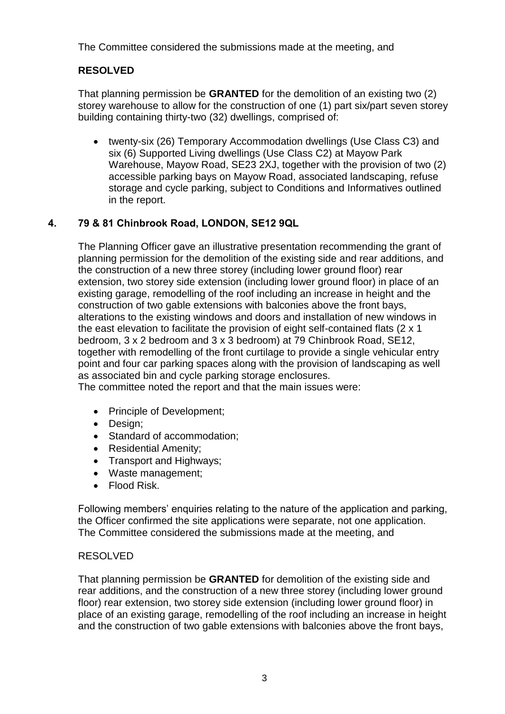The Committee considered the submissions made at the meeting, and

# **RESOLVED**

That planning permission be **GRANTED** for the demolition of an existing two (2) storey warehouse to allow for the construction of one (1) part six/part seven storey building containing thirty-two (32) dwellings, comprised of:

 twenty-six (26) Temporary Accommodation dwellings (Use Class C3) and six (6) Supported Living dwellings (Use Class C2) at Mayow Park Warehouse, Mayow Road, SE23 2XJ, together with the provision of two (2) accessible parking bays on Mayow Road, associated landscaping, refuse storage and cycle parking, subject to Conditions and Informatives outlined in the report.

## **4. 79 & 81 Chinbrook Road, LONDON, SE12 9QL**

The Planning Officer gave an illustrative presentation recommending the grant of planning permission for the demolition of the existing side and rear additions, and the construction of a new three storey (including lower ground floor) rear extension, two storey side extension (including lower ground floor) in place of an existing garage, remodelling of the roof including an increase in height and the construction of two gable extensions with balconies above the front bays, alterations to the existing windows and doors and installation of new windows in the east elevation to facilitate the provision of eight self-contained flats (2 x 1 bedroom, 3 x 2 bedroom and 3 x 3 bedroom) at 79 Chinbrook Road, SE12, together with remodelling of the front curtilage to provide a single vehicular entry point and four car parking spaces along with the provision of landscaping as well as associated bin and cycle parking storage enclosures.

The committee noted the report and that the main issues were:

- Principle of Development;
- Design:
- Standard of accommodation;
- Residential Amenity;
- Transport and Highways:
- Waste management;
- Flood Risk.

Following members' enquiries relating to the nature of the application and parking, the Officer confirmed the site applications were separate, not one application. The Committee considered the submissions made at the meeting, and

## RESOLVED

That planning permission be **GRANTED** for demolition of the existing side and rear additions, and the construction of a new three storey (including lower ground floor) rear extension, two storey side extension (including lower ground floor) in place of an existing garage, remodelling of the roof including an increase in height and the construction of two gable extensions with balconies above the front bays,